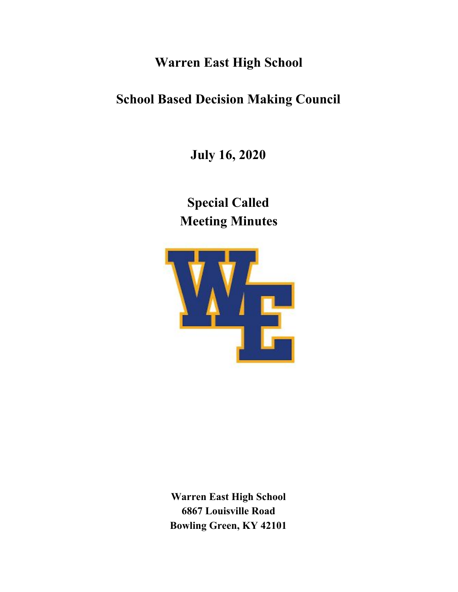## **Warren East High School**

# **School Based Decision Making Council**

**July 16, 2020**

**Special Called Meeting Minutes**



**Warren East High School 6867 Louisville Road Bowling Green, KY 42101**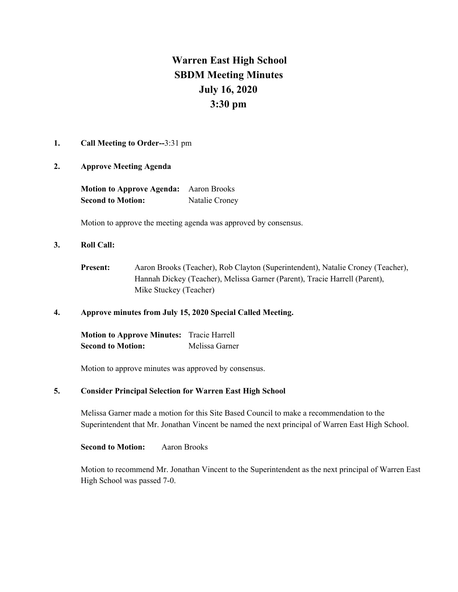### **Warren East High School SBDM Meeting Minutes July 16, 2020 3:30 pm**

#### **1. Call Meeting to Order--**3:31 pm

#### **2. Approve Meeting Agenda**

| <b>Motion to Approve Agenda:</b> | Aaron Brooks   |
|----------------------------------|----------------|
| <b>Second to Motion:</b>         | Natalie Croney |

Motion to approve the meeting agenda was approved by consensus.

#### **3. Roll Call:**

**Present:** Aaron Brooks (Teacher), Rob Clayton (Superintendent), Natalie Croney (Teacher), Hannah Dickey (Teacher), Melissa Garner (Parent), Tracie Harrell (Parent), Mike Stuckey (Teacher)

#### **4. Approve minutes from July 15, 2020 Special Called Meeting.**

| <b>Motion to Approve Minutes:</b> | Tracie Harrell |
|-----------------------------------|----------------|
| <b>Second to Motion:</b>          | Melissa Garner |

Motion to approve minutes was approved by consensus.

#### **5. Consider Principal Selection for Warren East High School**

Melissa Garner made a motion for this Site Based Council to make a recommendation to the Superintendent that Mr. Jonathan Vincent be named the next principal of Warren East High School.

**Second to Motion:** Aaron Brooks

Motion to recommend Mr. Jonathan Vincent to the Superintendent as the next principal of Warren East High School was passed 7-0.